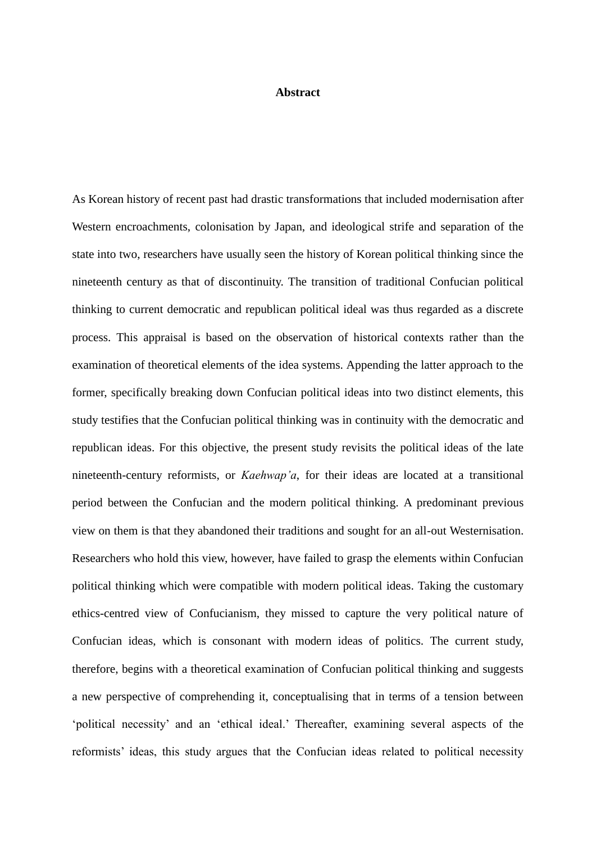## **Abstract**

As Korean history of recent past had drastic transformations that included modernisation after Western encroachments, colonisation by Japan, and ideological strife and separation of the state into two, researchers have usually seen the history of Korean political thinking since the nineteenth century as that of discontinuity. The transition of traditional Confucian political thinking to current democratic and republican political ideal was thus regarded as a discrete process. This appraisal is based on the observation of historical contexts rather than the examination of theoretical elements of the idea systems. Appending the latter approach to the former, specifically breaking down Confucian political ideas into two distinct elements, this study testifies that the Confucian political thinking was in continuity with the democratic and republican ideas. For this objective, the present study revisits the political ideas of the late nineteenth-century reformists, or *Kaehwap'a*, for their ideas are located at a transitional period between the Confucian and the modern political thinking. A predominant previous view on them is that they abandoned their traditions and sought for an all-out Westernisation. Researchers who hold this view, however, have failed to grasp the elements within Confucian political thinking which were compatible with modern political ideas. Taking the customary ethics-centred view of Confucianism, they missed to capture the very political nature of Confucian ideas, which is consonant with modern ideas of politics. The current study, therefore, begins with a theoretical examination of Confucian political thinking and suggests a new perspective of comprehending it, conceptualising that in terms of a tension between 'political necessity' and an 'ethical ideal.' Thereafter, examining several aspects of the reformists' ideas, this study argues that the Confucian ideas related to political necessity